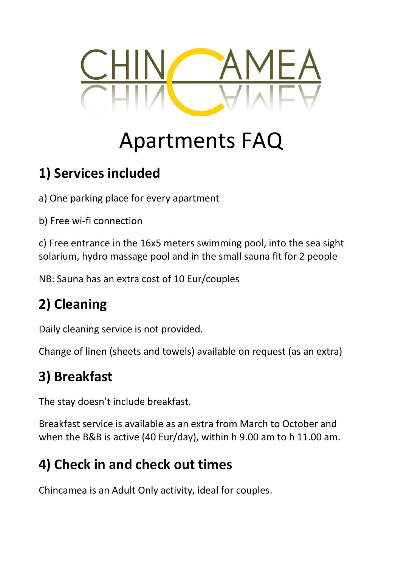

# Apartments FAQ

#### **1) Services included**

a) One parking place for every apartment

b) Free wi-fi connection

c) Free entrance in the 16x5 meters swimming pool, into the sea sight solarium, hydro massage pool and in the small sauna fit for 2 people

NB: Sauna has an extra cost of 10 Eur/couples

# **2) Cleaning**

Daily cleaning service is not provided.

Change of linen (sheets and towels) available on request (as an extra)

## **3) Breakfast**

The stay doesn't include breakfast.

Breakfast service is available as an extra from March to October and when the B&B is active (40 Eur/day), within h 9.00 am to h 11.00 am.

#### **4) Check in and check out times**

Chincamea is an Adult Only activity, ideal for couples.